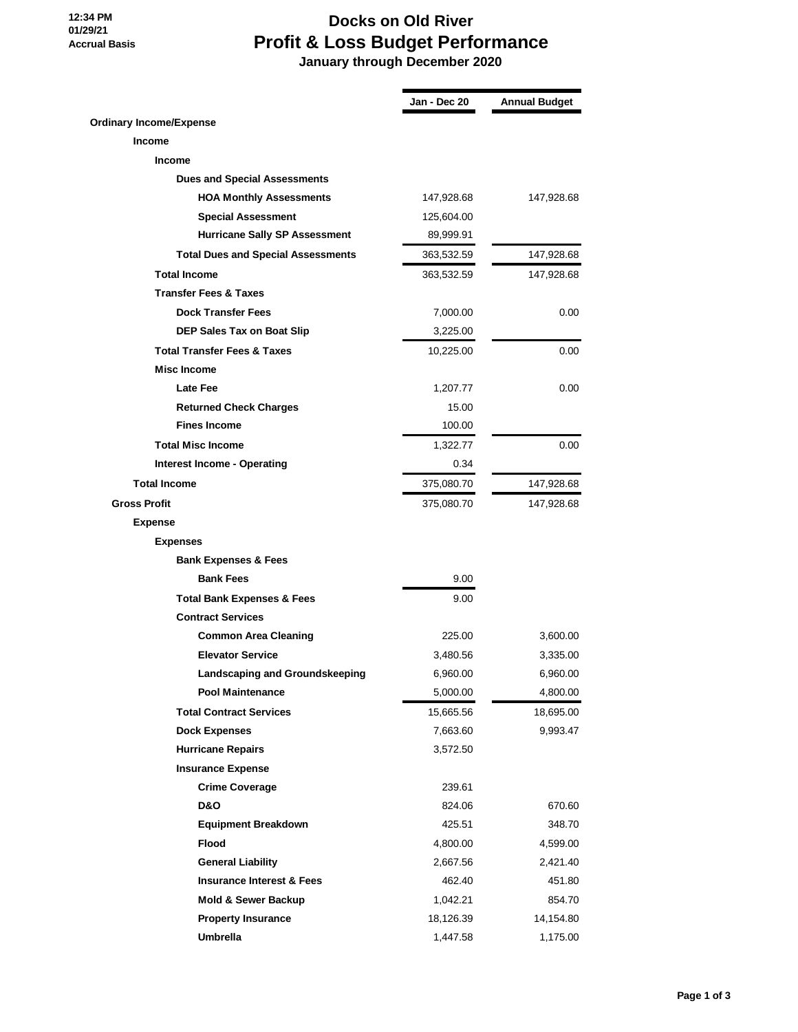### **12:34 PM 01/29/21 Accrual Basis**

# **Docks on Old River Profit & Loss Budget Performance**

 **January through December 2020**

|                                           | Jan - Dec 20 | <b>Annual Budget</b> |
|-------------------------------------------|--------------|----------------------|
| <b>Ordinary Income/Expense</b>            |              |                      |
| <b>Income</b>                             |              |                      |
| <b>Income</b>                             |              |                      |
| <b>Dues and Special Assessments</b>       |              |                      |
| <b>HOA Monthly Assessments</b>            | 147,928.68   | 147,928.68           |
| <b>Special Assessment</b>                 | 125,604.00   |                      |
| <b>Hurricane Sally SP Assessment</b>      | 89,999.91    |                      |
| <b>Total Dues and Special Assessments</b> | 363,532.59   | 147,928.68           |
| <b>Total Income</b>                       | 363,532.59   | 147,928.68           |
| <b>Transfer Fees &amp; Taxes</b>          |              |                      |
| <b>Dock Transfer Fees</b>                 | 7,000.00     | 0.00                 |
| <b>DEP Sales Tax on Boat Slip</b>         | 3,225.00     |                      |
| <b>Total Transfer Fees &amp; Taxes</b>    | 10,225.00    | 0.00                 |
| <b>Misc Income</b>                        |              |                      |
| Late Fee                                  | 1,207.77     | 0.00                 |
| <b>Returned Check Charges</b>             | 15.00        |                      |
| <b>Fines Income</b>                       | 100.00       |                      |
| <b>Total Misc Income</b>                  | 1,322.77     | 0.00                 |
| Interest Income - Operating               | 0.34         |                      |
| <b>Total Income</b>                       | 375,080.70   | 147,928.68           |
| <b>Gross Profit</b>                       | 375,080.70   | 147,928.68           |
| <b>Expense</b>                            |              |                      |
| <b>Expenses</b>                           |              |                      |
| <b>Bank Expenses &amp; Fees</b>           |              |                      |
| <b>Bank Fees</b>                          | 9.00         |                      |
| <b>Total Bank Expenses &amp; Fees</b>     | 9.00         |                      |
| <b>Contract Services</b>                  |              |                      |
| <b>Common Area Cleaning</b>               | 225.00       | 3,600.00             |
| <b>Elevator Service</b>                   | 3,480.56     | 3,335.00             |
| Landscaping and Groundskeeping            | 6,960.00     | 6,960.00             |
| <b>Pool Maintenance</b>                   | 5,000.00     | 4,800.00             |
| <b>Total Contract Services</b>            | 15,665.56    | 18,695.00            |
| <b>Dock Expenses</b>                      | 7,663.60     | 9,993.47             |
| <b>Hurricane Repairs</b>                  | 3,572.50     |                      |
| <b>Insurance Expense</b>                  |              |                      |
| <b>Crime Coverage</b>                     | 239.61       |                      |
| <b>D&amp;O</b>                            | 824.06       | 670.60               |
| <b>Equipment Breakdown</b>                | 425.51       | 348.70               |
| Flood                                     | 4,800.00     | 4,599.00             |
| <b>General Liability</b>                  | 2,667.56     | 2,421.40             |
| <b>Insurance Interest &amp; Fees</b>      | 462.40       | 451.80               |
| Mold & Sewer Backup                       | 1,042.21     | 854.70               |
| <b>Property Insurance</b>                 | 18,126.39    | 14,154.80            |
| <b>Umbrella</b>                           | 1,447.58     | 1,175.00             |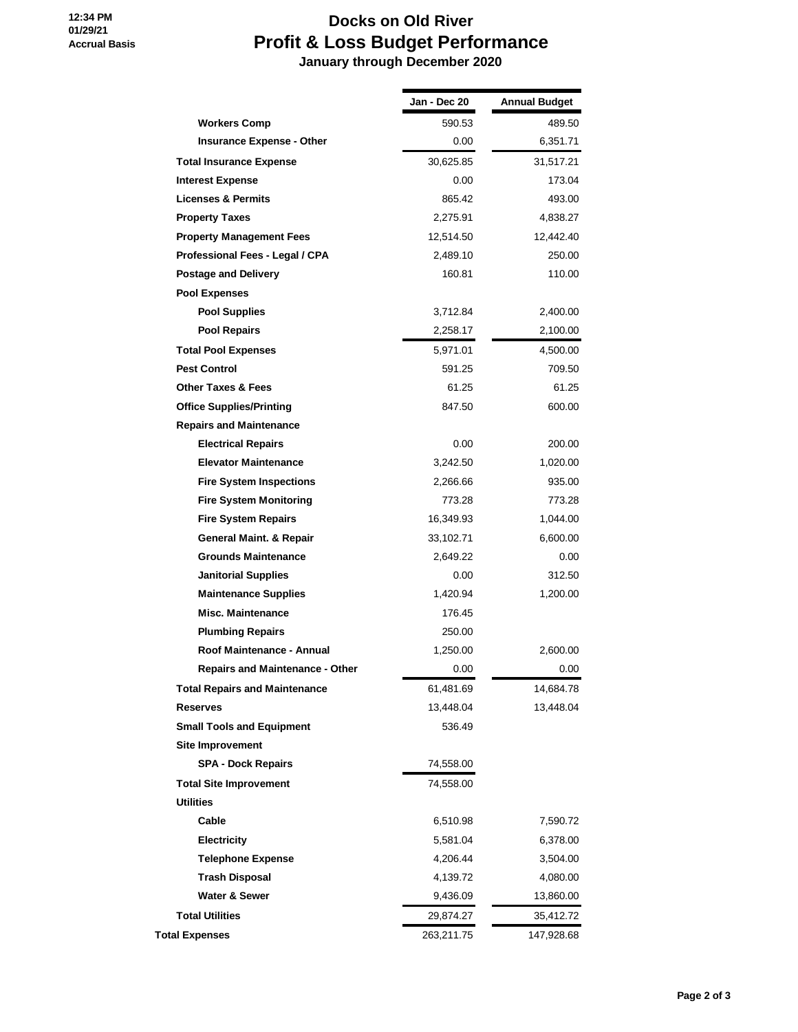# **Docks on Old River Profit & Loss Budget Performance**

 **January through December 2020**

|                                        | Jan - Dec 20 | <b>Annual Budget</b> |
|----------------------------------------|--------------|----------------------|
| <b>Workers Comp</b>                    | 590.53       | 489.50               |
| <b>Insurance Expense - Other</b>       | 0.00         | 6,351.71             |
| <b>Total Insurance Expense</b>         | 30,625.85    | 31,517.21            |
| <b>Interest Expense</b>                | 0.00         | 173.04               |
| <b>Licenses &amp; Permits</b>          | 865.42       | 493.00               |
| <b>Property Taxes</b>                  | 2,275.91     | 4,838.27             |
| <b>Property Management Fees</b>        | 12,514.50    | 12,442.40            |
| Professional Fees - Legal / CPA        | 2,489.10     | 250.00               |
| <b>Postage and Delivery</b>            | 160.81       | 110.00               |
| <b>Pool Expenses</b>                   |              |                      |
| <b>Pool Supplies</b>                   | 3,712.84     | 2,400.00             |
| <b>Pool Repairs</b>                    | 2,258.17     | 2,100.00             |
| <b>Total Pool Expenses</b>             | 5,971.01     | 4,500.00             |
| <b>Pest Control</b>                    | 591.25       | 709.50               |
| <b>Other Taxes &amp; Fees</b>          | 61.25        | 61.25                |
| <b>Office Supplies/Printing</b>        | 847.50       | 600.00               |
| <b>Repairs and Maintenance</b>         |              |                      |
| <b>Electrical Repairs</b>              | 0.00         | 200.00               |
| <b>Elevator Maintenance</b>            | 3,242.50     | 1,020.00             |
| <b>Fire System Inspections</b>         | 2,266.66     | 935.00               |
| <b>Fire System Monitoring</b>          | 773.28       | 773.28               |
| <b>Fire System Repairs</b>             | 16,349.93    | 1,044.00             |
| General Maint. & Repair                | 33,102.71    | 6,600.00             |
| <b>Grounds Maintenance</b>             | 2,649.22     | 0.00                 |
| <b>Janitorial Supplies</b>             | 0.00         | 312.50               |
| <b>Maintenance Supplies</b>            | 1,420.94     | 1,200.00             |
| <b>Misc. Maintenance</b>               | 176.45       |                      |
| <b>Plumbing Repairs</b>                | 250.00       |                      |
| Roof Maintenance - Annual              | 1,250.00     | 2,600.00             |
| <b>Repairs and Maintenance - Other</b> | 0.00         | 0.00                 |
| <b>Total Repairs and Maintenance</b>   | 61,481.69    | 14,684.78            |
| <b>Reserves</b>                        | 13,448.04    | 13,448.04            |
| <b>Small Tools and Equipment</b>       | 536.49       |                      |
| <b>Site Improvement</b>                |              |                      |
| <b>SPA - Dock Repairs</b>              | 74,558.00    |                      |
| <b>Total Site Improvement</b>          | 74,558.00    |                      |
| <b>Utilities</b>                       |              |                      |
| Cable                                  | 6,510.98     | 7,590.72             |
| <b>Electricity</b>                     | 5,581.04     | 6,378.00             |
| <b>Telephone Expense</b>               | 4,206.44     | 3,504.00             |
| <b>Trash Disposal</b>                  | 4,139.72     | 4,080.00             |
| Water & Sewer                          | 9,436.09     | 13,860.00            |
| <b>Total Utilities</b>                 | 29,874.27    | 35,412.72            |
| <b>Total Expenses</b>                  | 263,211.75   | 147,928.68           |